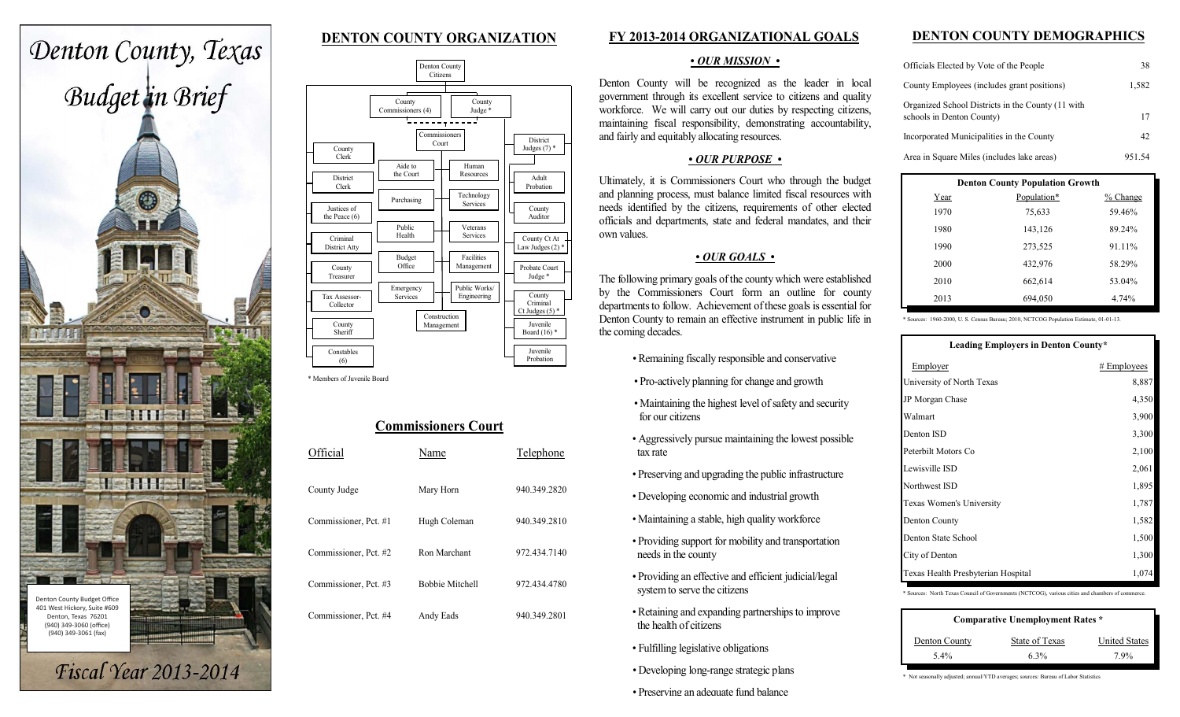# **DENTON COUNTY ORGANIZATION**



|                                                   |                                    | Denton County<br>Citizens                           |                                                 |
|---------------------------------------------------|------------------------------------|-----------------------------------------------------|-------------------------------------------------|
| County<br>Clerk                                   | County<br>Commissioners (4)        | County<br>Judge *<br>Commissioners<br>Court         | <b>District</b><br>Judges $(7)$ *               |
| <b>District</b><br>Clerk<br>Justices of           | Aide to<br>the Court<br>Purchasing | Human<br>Resources<br>Technology<br><b>Services</b> | Adult<br>Probation<br>County<br>Auditor         |
| the Peace (6)<br>Criminal<br>District Atty        | Public<br>Health<br><b>Budget</b>  | Veterans<br><b>Services</b><br>Facilities           | County Ct At<br>Law Judges (2) *                |
| County<br>Treasurer<br>Tax Assessor-<br>Collector | Office<br>Emergency<br>Services    | Management<br>Public Works/<br>Engineering          | Probate Court<br>Judge*<br>County<br>Criminal   |
| County<br>Sheriff                                 |                                    | Construction<br>Management                          | Ct Judges $(5)$ *<br>Juvenile<br>Board $(16)$ * |
| Constables<br>(6)                                 |                                    |                                                     | Juvenile<br>Probation                           |

\* Members of Juvenile Board

| <b>Commissioners Court</b> |                        |              |  |  |  |
|----------------------------|------------------------|--------------|--|--|--|
| Official                   | Name                   | Telephone    |  |  |  |
| County Judge               | Mary Horn              | 940.349.2820 |  |  |  |
| Commissioner, Pct. #1      | Hugh Coleman           | 940.349.2810 |  |  |  |
| Commissioner, Pct. #2      | Ron Marchant           | 972.434.7140 |  |  |  |
| Commissioner, Pct. #3      | <b>Bobbie Mitchell</b> | 972.434.4780 |  |  |  |
| Commissioner, Pct. #4      | Andy Eads              | 940.349.2801 |  |  |  |

# **FY 2013-2014 ORGANIZATIONAL GOALS**

#### *• OUR MISSION •*

Denton County will be recognized as the leader in local government through its excellent service to citizens and quality workforce. We will carry out our duties by respecting citizens, maintaining fiscal responsibility, demonstrating accountability, and fairly and equitably allocating resources.

#### *• OUR PURPOSE •*

Ultimately, it is Commissioners Court who through the budget and planning process, must balance limited fiscal resources with needs identified by the citizens, requirements of other elected officials and departments, state and federal mandates, and their own values.

# *• OUR GOALS •*

The following primary goals of the county which were established by the Commissioners Court form an outline for county departments to follow. Achievement of these goals is essential for Denton County to remain an effective instrument in public life in the coming decades.

- *•* Remaining fiscally responsible and conservative
- Pro -actively planning for change and growth
- Maintaining the highest level of safety and security for our citizens
- Aggressively pursue maintaining the lowest possible tax rate
- Preserving and upgrading the public infrastructure
- Developing economic and industrial growth
- Maintaining a stable, high quality workforc e
- Providing support for mobility and transportation needs in the county
- Providing an effective and efficient judicial/legal system to serve the citizens
- Retaining and expanding partnerships to improve the health of citizens
- Fulfilling legislative obligations
- *•* Developing long-range strategic plans
- *•* Preserving an adequate fund balance

# **DENTON COUNTY DEMOGRAPHICS**

| Officials Elected by Vote of the People                                        | 38     |
|--------------------------------------------------------------------------------|--------|
| County Employees (includes grant positions)                                    | 1,582  |
| Organized School Districts in the County (11 with<br>schools in Denton County) | 17     |
| Incorporated Municipalities in the County                                      | 42     |
| Area in Square Miles (includes lake areas)                                     | 951.54 |

| <b>Denton County Population Growth</b> |             |            |  |  |  |
|----------------------------------------|-------------|------------|--|--|--|
| Year                                   | Population* | $%$ Change |  |  |  |
| 1970                                   | 75,633      | 59.46%     |  |  |  |
| 1980                                   | 143,126     | 89.24%     |  |  |  |
| 1990                                   | 273,525     | 91.11%     |  |  |  |
| 2000                                   | 432,976     | 58.29%     |  |  |  |
| 2010                                   | 662,614     | 53.04%     |  |  |  |
| 2013                                   | 694,050     | 4.74%      |  |  |  |

\* Sources: 1960-2000, U. S. Census Bureau; 2010, NCTCOG Population Estimate, 01-01-13.

| Leading Employers in Denton County* |               |  |  |  |
|-------------------------------------|---------------|--|--|--|
| Employer                            | $#$ Employees |  |  |  |
| University of North Texas           | 8,887         |  |  |  |
| JP Morgan Chase                     | 4,350         |  |  |  |
| Walmart                             | 3,900         |  |  |  |
| Denton ISD                          | 3,300         |  |  |  |
| Peterbilt Motors Co                 | 2,100         |  |  |  |
| Lewisville ISD                      | 2,061         |  |  |  |
| Northwest ISD                       | 1,895         |  |  |  |
| Texas Women's University            | 1,787         |  |  |  |
| Denton County                       | 1,582         |  |  |  |
| Denton State School                 | 1,500         |  |  |  |
| City of Denton                      | 1,300         |  |  |  |
| Texas Health Presbyterian Hospital  | 1,074         |  |  |  |

\* Sources: North Texas Council of Governments (NCTCOG), various cities and chambers of commerce.

| <b>Comparative Unemployment Rates *</b> |                |                      |  |  |
|-----------------------------------------|----------------|----------------------|--|--|
| Denton County                           | State of Texas | <b>United States</b> |  |  |
| $5.4\%$                                 | 6.3%           | 7.9%                 |  |  |

\* Not seasonally adjusted; annual/YTD averages; sources: Bureau of Labor Statistics